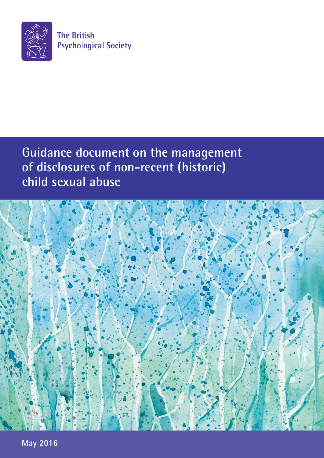

# **Guidance document on the management of disclosures of non-recent (historic) child sexual abuse**

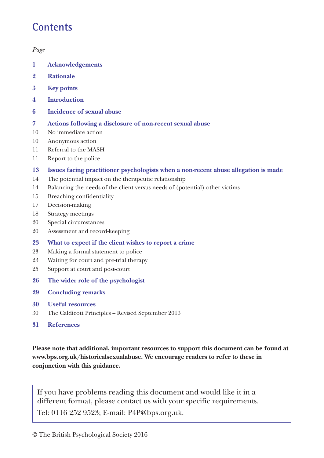## **Contents**

| . . |
|-----|
|-----|

- **1 Acknowledgements**
- **2 Rationale**
- **3 Key points**
- **4 Introduction**
- **6 Incidence of sexual abuse**
- **7 Actions following a disclosure of non-recent sexual abuse**
- 10 No immediate action
- 10 Anonymous action
- 11 Referral to the MASH
- 11 Report to the police
- **13 Issues facing practitioner psychologists when a non-recent abuse allegation is made**
- 14 The potential impact on the therapeutic relationship
- 14 Balancing the needs of the client versus needs of (potential) other victims
- 15 Breaching confidentiality
- 17 Decision-making
- 18 Strategy meetings
- 20 Special circumstances
- 20 Assessment and record-keeping
- **23 What to expect if the client wishes to report a crime**
- 23 Making a formal statement to police
- 23 Waiting for court and pre-trial therapy
- 25 Support at court and post-court
- **26 The wider role of the psychologist**
- **29 Concluding remarks**
- **30 Useful resources**
- 30 The Caldicott Principles Revised September 2013
- **31 References**

**Please note that additional, important resources to support this document can be found at www.bps.org.uk/historicalsexualabuse. We encourage readers to refer to these in conjunction with this guidance.**

If you have problems reading this document and would like it in a different format, please contact us with your specific requirements.

Tel: 0116 252 9523; E-mail: P4P@bps.org.uk.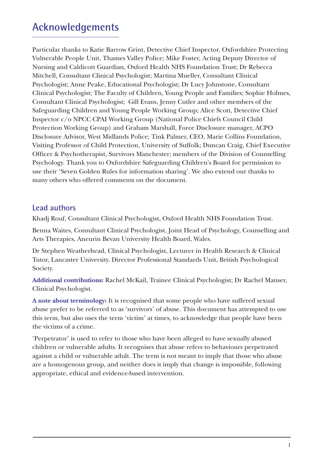## **Acknowledgements**

Particular thanks to Katie Barrow Grint, Detective Chief Inspector, Oxfordshire Protecting Vulnerable People Unit, Thames Valley Police; Mike Foster, Acting Deputy Director of Nursing and Caldicott Guardian, Oxford Health NHS Foundation Trust; Dr Rebecca Mitchell, Consultant Clinical Psychologist; Martina Mueller, Consultant Clinical Psychologist; Anne Peake, Educational Psychologist; Dr Lucy Johnstone, Consultant Clinical Psychologist; The Faculty of Children, Young People and Families; Sophie Holmes, Consultant Clinical Psychologist; Gill Evans, Jenny Cutler and other members of the Safeguarding Children and Young People Working Group; Alice Scott, Detective Chief Inspector c/o NPCC CPAI Working Group (National Police Chiefs Council Child Protection Working Group) and Graham Marshall, Force Disclosure manager, ACPO Disclosure Advisor, West Midlands Police; Tink Palmer, CEO, Marie Collins Foundation, Visiting Professor of Child Protection, University of Suffolk; Duncan Craig, Chief Executive Officer & Psychotherapist, Survivors Manchester; members of the Division of Counselling Psychology. Thank you to Oxfordshire Safeguarding Children's Board for permission to use their 'Seven Golden Rules for information sharing'. We also extend our thanks to many others who offered comments on the document.

### **Lead authors**

Khadj Rouf, Consultant Clinical Psychologist, Oxford Health NHS Foundation Trust.

Benna Waites, Consultant Clinical Psychologist, Joint Head of Psychology, Counselling and Arts Therapies, Aneurin Bevan University Health Board, Wales.

Dr Stephen Weatherhead, Clinical Psychologist, Lecturer in Health Research & Clinical Tutor, Lancaster University. Director Professional Standards Unit, British Psychological Society.

**Additional contributions:** Rachel McKail, Trainee Clinical Psychologist; Dr Rachel Manser, Clinical Psychologist.

**A note about terminology:** It is recognised that some people who have suffered sexual abuse prefer to be referred to as 'survivors' of abuse. This document has attempted to use this term, but also uses the term 'victim' at times, to acknowledge that people have been the victims of a crime.

'Perpetrator' is used to refer to those who have been alleged to have sexually abused children or vulnerable adults. It recognises that abuse refers to behaviours perpetrated against a child or vulnerable adult. The term is not meant to imply that those who abuse are a homogenous group, and neither does it imply that change is impossible, following appropriate, ethical and evidence-based intervention.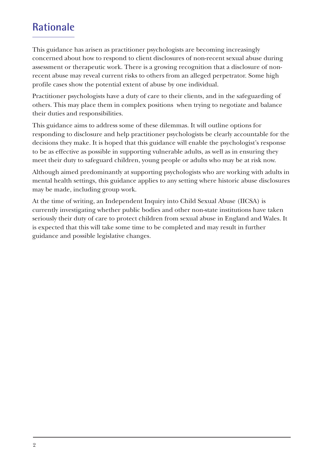## **Rationale**

This guidance has arisen as practitioner psychologists are becoming increasingly concerned about how to respond to client disclosures of non-recent sexual abuse during assessment or therapeutic work. There is a growing recognition that a disclosure of nonrecent abuse may reveal current risks to others from an alleged perpetrator. Some high profile cases show the potential extent of abuse by one individual.

Practitioner psychologists have a duty of care to their clients, and in the safeguarding of others. This may place them in complex positions when trying to negotiate and balance their duties and responsibilities.

This guidance aims to address some of these dilemmas. It will outline options for responding to disclosure and help practitioner psychologists be clearly accountable for the decisions they make. It is hoped that this guidance will enable the psychologist's response to be as effective as possible in supporting vulnerable adults, as well as in ensuring they meet their duty to safeguard children, young people or adults who may be at risk now.

Although aimed predominantly at supporting psychologists who are working with adults in mental health settings, this guidance applies to any setting where historic abuse disclosures may be made, including group work.

At the time of writing, an Independent Inquiry into Child Sexual Abuse (IICSA) is currently investigating whether public bodies and other non-state institutions have taken seriously their duty of care to protect children from sexual abuse in England and Wales. It is expected that this will take some time to be completed and may result in further guidance and possible legislative changes.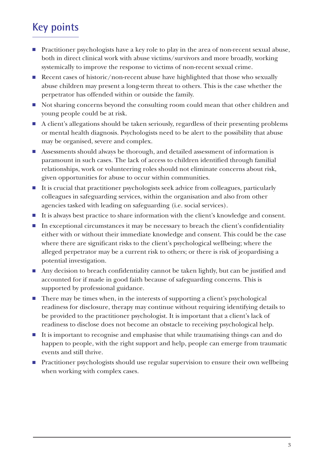## **Key points**

- Practitioner psychologists have a key role to play in the area of non-recent sexual abuse, both in direct clinical work with abuse victims/survivors and more broadly, working systemically to improve the response to victims of non-recent sexual crime.
- Recent cases of historic/non-recent abuse have highlighted that those who sexually abuse children may present a long-term threat to others. This is the case whether the perpetrator has offended within or outside the family.
- Not sharing concerns beyond the consulting room could mean that other children and young people could be at risk.
- A client's allegations should be taken seriously, regardless of their presenting problems or mental health diagnosis. Psychologists need to be alert to the possibility that abuse may be organised, severe and complex.
- Assessments should always be thorough, and detailed assessment of information is paramount in such cases. The lack of access to children identified through familial relationships, work or volunteering roles should not eliminate concerns about risk, given opportunities for abuse to occur within communities.
- It is crucial that practitioner psychologists seek advice from colleagues, particularly colleagues in safeguarding services, within the organisation and also from other agencies tasked with leading on safeguarding (i.e. social services).
- It is always best practice to share information with the client's knowledge and consent.
- In exceptional circumstances it may be necessary to breach the client's confidentiality either with or without their immediate knowledge and consent. This could be the case where there are significant risks to the client's psychological wellbeing; where the alleged perpetrator may be a current risk to others; or there is risk of jeopardising a potential investigation.
- Any decision to breach confidentiality cannot be taken lightly, but can be justified and accounted for if made in good faith because of safeguarding concerns. This is supported by professional guidance.
- There may be times when, in the interests of supporting a client's psychological readiness for disclosure, therapy may continue without requiring identifying details to be provided to the practitioner psychologist. It is important that a client's lack of readiness to disclose does not become an obstacle to receiving psychological help.
- It is important to recognise and emphasise that while traumatising things can and do happen to people, with the right support and help, people can emerge from traumatic events and still thrive.
- Practitioner psychologists should use regular supervision to ensure their own wellbeing when working with complex cases.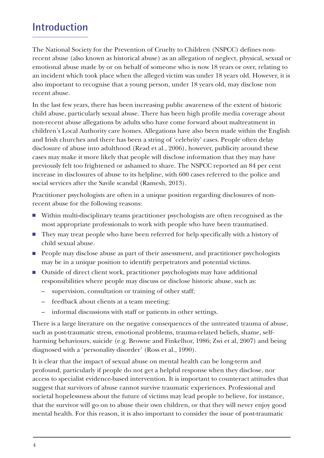## **Introduction**

The National Society for the Prevention of Cruelty to Children (NSPCC) defines nonrecent abuse (also known as historical abuse) as an allegation of neglect, physical, sexual or emotional abuse made by or on behalf of someone who is now 18 years or over, relating to an incident which took place when the alleged victim was under 18 years old. However, it is also important to recognise that a young person, under 18 years old, may disclose non recent abuse.

In the last few years, there has been increasing public awareness of the extent of historic child abuse, particularly sexual abuse. There has been high profile media coverage about non-recent abuse allegations by adults who have come forward about maltreatment in children's Local Authority care homes. Allegations have also been made within the English and Irish churches and there has been a string of 'celebrity' cases. People often delay disclosure of abuse into adulthood (Read et al., 2006), however, publicity around these cases may make it more likely that people will disclose information that they may have previously felt too frightened or ashamed to share. The NSPCC reported an 84 per cent increase in disclosures of abuse to its helpline, with 600 cases referred to the police and social services after the Savile scandal (Ramesh, 2013).

Practitioner psychologists are often in a unique position regarding disclosures of nonrecent abuse for the following reasons:

- Within multi-disciplinary teams practitioner psychologists are often recognised as the most appropriate professionals to work with people who have been traumatised.
- They may treat people who have been referred for help specifically with a history of child sexual abuse.
- People may disclose abuse as part of their assessment, and practitioner psychologists may be in a unique position to identify perpetrators and potential victims.
- Outside of direct client work, practitioner psychologists may have additional responsibilities where people may discuss or disclose historic abuse, such as:
	- supervision, consultation or training of other staff;
	- feedback about clients at a team meeting;
	- informal discussions with staff or patients in other settings.

There is a large literature on the negative consequences of the untreated trauma of abuse, such as post-traumatic stress, emotional problems, trauma-related beliefs, shame, selfharming behaviours, suicide (e.g. Browne and Finkelhor, 1986; Zwi et al, 2007) and being diagnosed with a 'personality disorder' (Ross et al., 1990).

It is clear that the impact of sexual abuse on mental health can be long-term and profound, particularly if people do not get a helpful response when they disclose, nor access to specialist evidence-based intervention. It is important to counteract attitudes that suggest that survivors of abuse cannot survive traumatic experiences. Professional and societal hopelessness about the future of victims may lead people to believe, for instance, that the survivor will go on to abuse their own children, or that they will never enjoy good mental health. For this reason, it is also important to consider the issue of post-traumatic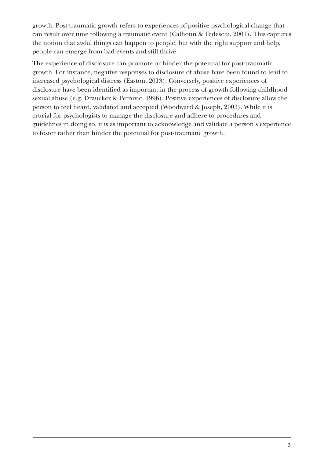growth. Post-traumatic growth refers to experiences of positive psychological change that can result over time following a traumatic event (Calhoun & Tedeschi, 2001). This captures the notion that awful things can happen to people, but with the right support and help, people can emerge from bad events and still thrive.

The experience of disclosure can promote or hinder the potential for post-traumatic growth. For instance, negative responses to disclosure of abuse have been found to lead to increased psychological distress (Easton, 2013). Conversely, positive experiences of disclosure have been identified as important in the process of growth following childhood sexual abuse (e.g. Draucker & Petrovic, 1996). Positive experiences of disclosure allow the person to feel heard, validated and accepted (Woodward & Joseph, 2003). While it is crucial for psychologists to manage the disclosure and adhere to procedures and guidelines in doing so, it is as important to acknowledge and validate a person's experience to foster rather than hinder the potential for post-traumatic growth.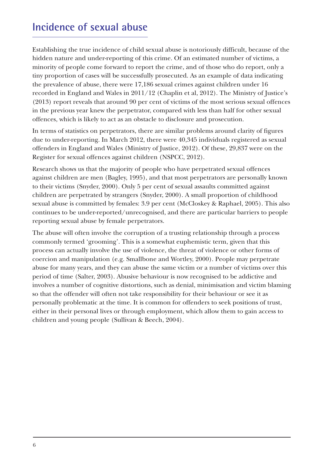## **Incidence of sexual abuse**

Establishing the true incidence of child sexual abuse is notoriously difficult, because of the hidden nature and under-reporting of this crime. Of an estimated number of victims, a minority of people come forward to report the crime, and of those who do report, only a tiny proportion of cases will be successfully prosecuted. As an example of data indicating the prevalence of abuse, there were 17,186 sexual crimes against children under 16 recorded in England and Wales in 2011/12 (Chaplin et al, 2012). The Ministry of Justice's (2013) report reveals that around 90 per cent of victims of the most serious sexual offences in the previous year knew the perpetrator, compared with less than half for other sexual offences, which is likely to act as an obstacle to disclosure and prosecution.

In terms of statistics on perpetrators, there are similar problems around clarity of figures due to under-reporting. In March 2012, there were 40,345 individuals registered as sexual offenders in England and Wales (Ministry of Justice, 2012). Of these, 29,837 were on the Register for sexual offences against children (NSPCC, 2012).

Research shows us that the majority of people who have perpetrated sexual offences against children are men (Bagley, 1995), and that most perpetrators are personally known to their victims (Snyder, 2000). Only 5 per cent of sexual assaults committed against children are perpetrated by strangers (Snyder, 2000). A small proportion of childhood sexual abuse is committed by females: 3.9 per cent (McCloskey & Raphael, 2005). This also continues to be under-reported/unrecognised, and there are particular barriers to people reporting sexual abuse by female perpetrators.

The abuse will often involve the corruption of a trusting relationship through a process commonly termed 'grooming'. This is a somewhat euphemistic term, given that this process can actually involve the use of violence, the threat of violence or other forms of coercion and manipulation (e.g. Smallbone and Wortley, 2000). People may perpetrate abuse for many years, and they can abuse the same victim or a number of victims over this period of time (Salter, 2003). Abusive behaviour is now recognised to be addictive and involves a number of cognitive distortions, such as denial, minimisation and victim blaming so that the offender will often not take responsibility for their behaviour or see it as personally problematic at the time. It is common for offenders to seek positions of trust, either in their personal lives or through employment, which allow them to gain access to children and young people (Sullivan & Beech, 2004).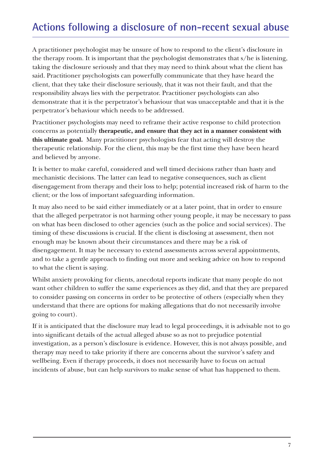## **Actions following a disclosure of non-recent sexual abuse**

A practitioner psychologist may be unsure of how to respond to the client's disclosure in the therapy room. It is important that the psychologist demonstrates that s/he is listening, taking the disclosure seriously and that they may need to think about what the client has said. Practitioner psychologists can powerfully communicate that they have heard the client, that they take their disclosure seriously, that it was not their fault, and that the responsibility always lies with the perpetrator. Practitioner psychologists can also demonstrate that it is the perpetrator's behaviour that was unacceptable and that it is the perpetrator's behaviour which needs to be addressed.

Practitioner psychologists may need to reframe their active response to child protection concerns as potentially **therapeutic, and ensure that they act in a manner consistent with this ultimate goal.** Many practitioner psychologists fear that acting will destroy the therapeutic relationship. For the client, this may be the first time they have been heard and believed by anyone.

It is better to make careful, considered and well timed decisions rather than hasty and mechanistic decisions. The latter can lead to negative consequences, such as client disengagement from therapy and their loss to help; potential increased risk of harm to the client; or the loss of important safeguarding information.

It may also need to be said either immediately or at a later point, that in order to ensure that the alleged perpetrator is not harming other young people, it may be necessary to pass on what has been disclosed to other agencies (such as the police and social services). The timing of these discussions is crucial. If the client is disclosing at assessment, then not enough may be known about their circumstances and there may be a risk of disengagement. It may be necessary to extend assessments across several appointments, and to take a gentle approach to finding out more and seeking advice on how to respond to what the client is saying.

Whilst anxiety provoking for clients, anecdotal reports indicate that many people do not want other children to suffer the same experiences as they did, and that they are prepared to consider passing on concerns in order to be protective of others (especially when they understand that there are options for making allegations that do not necessarily involve going to court).

If it is anticipated that the disclosure may lead to legal proceedings, it is advisable not to go into significant details of the actual alleged abuse so as not to prejudice potential investigation, as a person's disclosure is evidence. However, this is not always possible, and therapy may need to take priority if there are concerns about the survivor's safety and wellbeing. Even if therapy proceeds, it does not necessarily have to focus on actual incidents of abuse, but can help survivors to make sense of what has happened to them.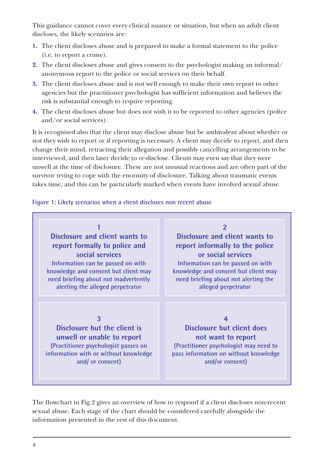This guidance cannot cover every clinical nuance or situation, but when an adult client discloses, the likely scenarios are:

- **1.** The client discloses abuse and is prepared to make a formal statement to the police (i.e. to report a crime).
- **2.** The client discloses abuse and gives consent to the psychologist making an informal/ anonymous report to the police or social services on their behalf.
- **3.** The client discloses abuse and is not well enough to make their own report to other agencies but the practitioner psychologist has sufficient information and believes the risk is substantial enough to require reporting.
- **4.** The client discloses abuse but does not wish it to be reported to other agencies (police and/or social services).

It is recognised also that the client may disclose abuse but be ambivalent about whether or not they wish to report or if reporting is necessary. A client may decide to report, and then change their mind, retracting their allegation and possibly cancelling arrangements to be interviewed, and then later decide to re-disclose. Clients may even say that they were unwell at the time of disclosure. These are not unusual reactions and are often part of the survivor trying to cope with the enormity of disclosure. Talking about traumatic events takes time, and this can be particularly marked when events have involved sexual abuse.

#### **Figure 1: Likely scenarios when a client discloses non recent abuse**



The flowchart in Fig.2 gives an overview of how to respond if a client discloses non-recent sexual abuse. Each stage of the chart should be considered carefully alongside the information presented in the rest of this document.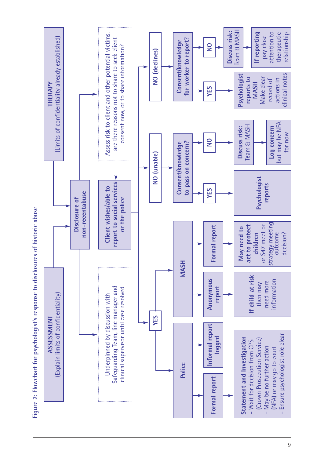

Figure 2: Flowchart for psychologist's response to disclosures of historic abuse **Figure 2: Flowchart for psychologist's response to disclosures of historic abuse**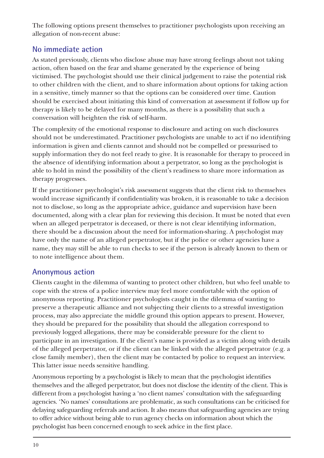The following options present themselves to practitioner psychologists upon receiving an allegation of non-recent abuse:

### **No immediate action**

As stated previously, clients who disclose abuse may have strong feelings about not taking action, often based on the fear and shame generated by the experience of being victimised. The psychologist should use their clinical judgement to raise the potential risk to other children with the client, and to share information about options for taking action in a sensitive, timely manner so that the options can be considered over time. Caution should be exercised about initiating this kind of conversation at assessment if follow up for therapy is likely to be delayed for many months, as there is a possibility that such a conversation will heighten the risk of self-harm.

The complexity of the emotional response to disclosure and acting on such disclosures should not be underestimated. Practitioner psychologists are unable to act if no identifying information is given and clients cannot and should not be compelled or pressurised to supply information they do not feel ready to give. It is reasonable for therapy to proceed in the absence of identifying information about a perpetrator, so long as the psychologist is able to hold in mind the possibility of the client's readiness to share more information as therapy progresses.

If the practitioner psychologist's risk assessment suggests that the client risk to themselves would increase significantly if confidentiality was broken, it is reasonable to take a decision not to disclose, so long as the appropriate advice, guidance and supervision have been documented, along with a clear plan for reviewing this decision. It must be noted that even when an alleged perpetrator is deceased, or there is not clear identifying information, there should be a discussion about the need for information-sharing. A psychologist may have only the name of an alleged perpetrator, but if the police or other agencies have a name, they may still be able to run checks to see if the person is already known to them or to note intelligence about them.

### **Anonymous action**

Clients caught in the dilemma of wanting to protect other children, but who feel unable to cope with the stress of a police interview may feel more comfortable with the option of anonymous reporting. Practitioner psychologists caught in the dilemma of wanting to preserve a therapeutic alliance and not subjecting their clients to a stressful investigation process, may also appreciate the middle ground this option appears to present. However, they should be prepared for the possibility that should the allegation correspond to previously logged allegations, there may be considerable pressure for the client to participate in an investigation. If the client's name is provided as a victim along with details of the alleged perpetrator, or if the client can be linked with the alleged perpetrator (e.g. a close family member), then the client may be contacted by police to request an interview. This latter issue needs sensitive handling.

Anonymous reporting by a psychologist is likely to mean that the psychologist identifies themselves and the alleged perpetrator, but does not disclose the identity of the client. This is different from a psychologist having a 'no client names' consultation with the safeguarding agencies. 'No names' consultations are problematic, as such consultations can be criticised for delaying safeguarding referrals and action. It also means that safeguarding agencies are trying to offer advice without being able to run agency checks on information about which the psychologist has been concerned enough to seek advice in the first place.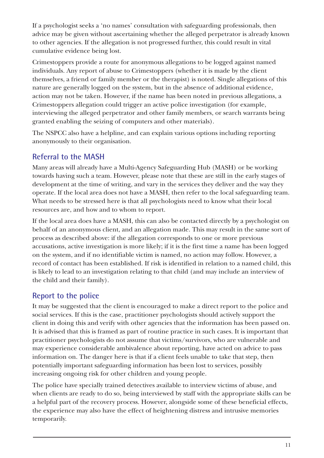If a psychologist seeks a 'no names' consultation with safeguarding professionals, then advice may be given without ascertaining whether the alleged perpetrator is already known to other agencies. If the allegation is not progressed further, this could result in vital cumulative evidence being lost.

Crimestoppers provide a route for anonymous allegations to be logged against named individuals. Any report of abuse to Crimestoppers (whether it is made by the client themselves, a friend or family member or the therapist) is noted. Single allegations of this nature are generally logged on the system, but in the absence of additional evidence, action may not be taken. However, if the name has been noted in previous allegations, a Crimestoppers allegation could trigger an active police investigation (for example, interviewing the alleged perpetrator and other family members, or search warrants being granted enabling the seizing of computers and other materials).

The NSPCC also have a helpline, and can explain various options including reporting anonymously to their organisation.

### **Referral to the MASH**

Many areas will already have a Multi-Agency Safeguarding Hub (MASH) or be working towards having such a team. However, please note that these are still in the early stages of development at the time of writing, and vary in the services they deliver and the way they operate. If the local area does not have a MASH, then refer to the local safeguarding team. What needs to be stressed here is that all psychologists need to know what their local resources are, and how and to whom to report.

If the local area does have a MASH, this can also be contacted directly by a psychologist on behalf of an anonymous client, and an allegation made. This may result in the same sort of process as described above: if the allegation corresponds to one or more previous accusations, active investigation is more likely; if it is the first time a name has been logged on the system, and if no identifiable victim is named, no action may follow. However, a record of contact has been established. If risk is identified in relation to a named child, this is likely to lead to an investigation relating to that child (and may include an interview of the child and their family).

## **Report to the police**

It may be suggested that the client is encouraged to make a direct report to the police and social services. If this is the case, practitioner psychologists should actively support the client in doing this and verify with other agencies that the information has been passed on. It is advised that this is framed as part of routine practice in such cases. It is important that practitioner psychologists do not assume that victims/survivors, who are vulnerable and may experience considerable ambivalence about reporting, have acted on advice to pass information on. The danger here is that if a client feels unable to take that step, then potentially important safeguarding information has been lost to services, possibly increasing ongoing risk for other children and young people.

The police have specially trained detectives available to interview victims of abuse, and when clients are ready to do so, being interviewed by staff with the appropriate skills can be a helpful part of the recovery process. However, alongside some of these beneficial effects, the experience may also have the effect of heightening distress and intrusive memories temporarily.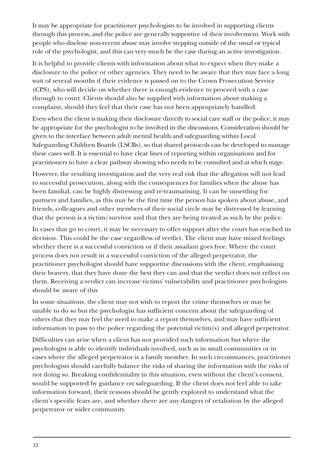It may be appropriate for practitioner psychologists to be involved in supporting clients through this process, and the police are generally supportive of their involvement. Work with people who disclose non-recent abuse may involve stepping outside of the usual or typical role of the psychologist, and this can very much be the case during an active investigation.

It is helpful to provide clients with information about what to expect when they make a disclosure to the police or other agencies. They need to be aware that they may face a long wait of several months if their evidence is passed on to the Crown Prosecution Service (CPS), who will decide on whether there is enough evidence to proceed with a case through to court. Clients should also be supplied with information about making a complaint, should they feel that their case has not been appropriately handled.

Even when the client is making their disclosure directly to social care staff or the police, it may be appropriate for the psychologist to be involved in the discussions. Consideration should be given to the interface between adult mental health and safeguarding within Local Safeguarding Children Boards (LSCBs), so that shared protocols can be developed to manage these cases well. It is essential to have clear lines of reporting within organisations and for practitioners to have a clear pathway showing who needs to be consulted and at which stage.

However, the resulting investigation and the very real risk that the allegation will not lead to successful prosecution, along with the consequences for families when the abuse has been familial, can be highly distressing and re-traumatising. It can be unsettling for partners and families, as this may be the first time the person has spoken about abuse, and friends, colleagues and other members of their social circle may be distressed by learning that the person is a victim/survivor and that they are being treated as such by the police.

In cases that go to court, it may be necessary to offer support after the court has reached its decision. This could be the case regardless of verdict. The client may have mixed feelings whether there is a successful conviction or if their assailant goes free. Where the court process does not result in a successful conviction of the alleged perpetrator, the practitioner psychologist should have supportive discussions with the client, emphasising their bravery, that they have done the best they can and that the verdict does not reflect on them. Receiving a verdict can increase victims' vulnerability and practitioner psychologists should be aware of this

In some situations, the client may not wish to report the crime themselves or may be unable to do so but the psychologist has sufficient concern about the safeguarding of others that they may feel the need to make a report themselves, and may have sufficient information to pass to the police regarding the potential victim(s) and alleged perpetrator.

Difficulties can arise when a client has not provided such information but where the psychologist is able to identify individuals involved, such as in small communities or in cases where the alleged perpetrator is a family member. In such circumstances, practitioner psychologists should carefully balance the risks of sharing the information with the risks of not doing so. Breaking confidentiality in this situation, even without the client's consent, would be supported by guidance on safeguarding. If the client does not feel able to take information forward, their reasons should be gently explored to understand what the client's specific fears are, and whether there are any dangers of retaliation by the alleged perpetrator or wider community.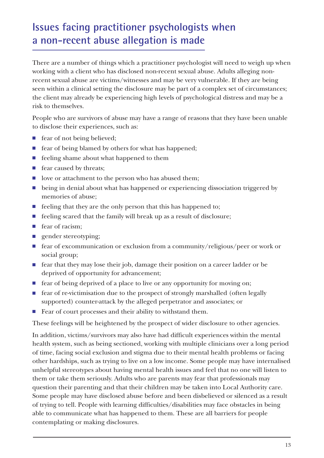## **Issues facing practitioner psychologists when a non-recent abuse allegation is made**

There are a number of things which a practitioner psychologist will need to weigh up when working with a client who has disclosed non-recent sexual abuse. Adults alleging nonrecent sexual abuse are victims/witnesses and may be very vulnerable. If they are being seen within a clinical setting the disclosure may be part of a complex set of circumstances; the client may already be experiencing high levels of psychological distress and may be a risk to themselves.

People who are survivors of abuse may have a range of reasons that they have been unable to disclose their experiences, such as:

- fear of not being believed;
- fear of being blamed by others for what has happened;
- feeling shame about what happened to them
- fear caused by threats;
- love or attachment to the person who has abused them;
- being in denial about what has happened or experiencing dissociation triggered by memories of abuse;
- feeling that they are the only person that this has happened to;
- feeling scared that the family will break up as a result of disclosure;
- fear of racism;
- gender stereotyping;
- fear of excommunication or exclusion from a community/religious/peer or work or social group;
- fear that they may lose their job, damage their position on a career ladder or be deprived of opportunity for advancement;
- fear of being deprived of a place to live or any opportunity for moving on;
- fear of re-victimisation due to the prospect of strongly marshalled (often legally supported) counter-attack by the alleged perpetrator and associates; or
- Fear of court processes and their ability to withstand them.

These feelings will be heightened by the prospect of wider disclosure to other agencies.

In addition, victims/survivors may also have had difficult experiences within the mental health system, such as being sectioned, working with multiple clinicians over a long period of time, facing social exclusion and stigma due to their mental health problems or facing other hardships, such as trying to live on a low income. Some people may have internalised unhelpful stereotypes about having mental health issues and feel that no one will listen to them or take them seriously. Adults who are parents may fear that professionals may question their parenting and that their children may be taken into Local Authority care. Some people may have disclosed abuse before and been disbelieved or silenced as a result of trying to tell. People with learning difficulties/disabilities may face obstacles in being able to communicate what has happened to them. These are all barriers for people contemplating or making disclosures.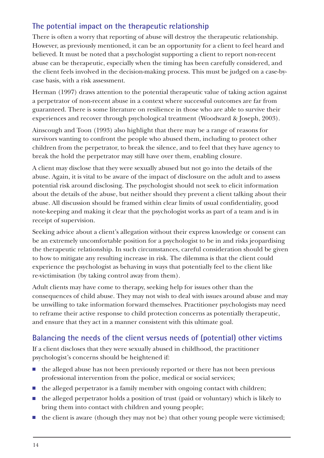## **The potential impact on the therapeutic relationship**

There is often a worry that reporting of abuse will destroy the therapeutic relationship. However, as previously mentioned, it can be an opportunity for a client to feel heard and believed. It must be noted that a psychologist supporting a client to report non-recent abuse can be therapeutic, especially when the timing has been carefully considered, and the client feels involved in the decision-making process. This must be judged on a case-bycase basis, with a risk assessment.

Herman (1997) draws attention to the potential therapeutic value of taking action against a perpetrator of non-recent abuse in a context where successful outcomes are far from guaranteed. There is some literature on resilience in those who are able to survive their experiences and recover through psychological treatment (Woodward & Joseph, 2003).

Ainscough and Toon (1993) also highlight that there may be a range of reasons for survivors wanting to confront the people who abused them, including to protect other children from the perpetrator, to break the silence, and to feel that they have agency to break the hold the perpetrator may still have over them, enabling closure.

A client may disclose that they were sexually abused but not go into the details of the abuse. Again, it is vital to be aware of the impact of disclosure on the adult and to assess potential risk around disclosing. The psychologist should not seek to elicit information about the details of the abuse, but neither should they prevent a client talking about their abuse. All discussion should be framed within clear limits of usual confidentiality, good note-keeping and making it clear that the psychologist works as part of a team and is in receipt of supervision.

Seeking advice about a client's allegation without their express knowledge or consent can be an extremely uncomfortable position for a psychologist to be in and risks jeopardising the therapeutic relationship. In such circumstances, careful consideration should be given to how to mitigate any resulting increase in risk. The dilemma is that the client could experience the psychologist as behaving in ways that potentially feel to the client like re-victimisation (by taking control away from them).

Adult clients may have come to therapy, seeking help for issues other than the consequences of child abuse. They may not wish to deal with issues around abuse and may be unwilling to take information forward themselves. Practitioner psychologists may need to reframe their active response to child protection concerns as potentially therapeutic, and ensure that they act in a manner consistent with this ultimate goal.

### **Balancing the needs of the client versus needs of (potential) other victims**

If a client discloses that they were sexually abused in childhood, the practitioner psychologist's concerns should be heightened if:

- the alleged abuse has not been previously reported or there has not been previous professional intervention from the police, medical or social services;
- the alleged perpetrator is a family member with ongoing contact with children;
- the alleged perpetrator holds a position of trust (paid or voluntary) which is likely to bring them into contact with children and young people;
- the client is aware (though they may not be) that other young people were victimised;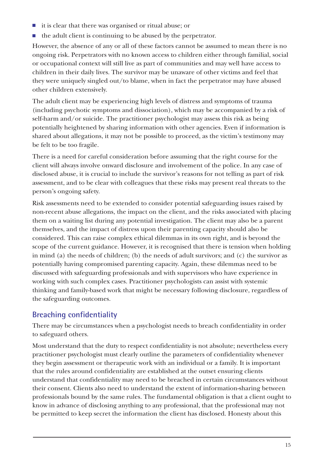- it is clear that there was organised or ritual abuse; or
- the adult client is continuing to be abused by the perpetrator.

However, the absence of any or all of these factors cannot be assumed to mean there is no ongoing risk. Perpetrators with no known access to children either through familial, social or occupational context will still live as part of communities and may well have access to children in their daily lives. The survivor may be unaware of other victims and feel that they were uniquely singled out/to blame, when in fact the perpetrator may have abused other children extensively.

The adult client may be experiencing high levels of distress and symptoms of trauma (including psychotic symptoms and dissociation), which may be accompanied by a risk of self-harm and/or suicide. The practitioner psychologist may assess this risk as being potentially heightened by sharing information with other agencies. Even if information is shared about allegations, it may not be possible to proceed, as the victim's testimony may be felt to be too fragile.

There is a need for careful consideration before assuming that the right course for the client will always involve onward disclosure and involvement of the police. In any case of disclosed abuse, it is crucial to include the survivor's reasons for not telling as part of risk assessment, and to be clear with colleagues that these risks may present real threats to the person's ongoing safety.

Risk assessments need to be extended to consider potential safeguarding issues raised by non-recent abuse allegations, the impact on the client, and the risks associated with placing them on a waiting list during any potential investigation. The client may also be a parent themselves, and the impact of distress upon their parenting capacity should also be considered. This can raise complex ethical dilemmas in its own right, and is beyond the scope of the current guidance. However, it is recognised that there is tension when holding in mind (a) the needs of children; (b) the needs of adult survivors; and (c) the survivor as potentially having compromised parenting capacity. Again, these dilemmas need to be discussed with safeguarding professionals and with supervisors who have experience in working with such complex cases. Practitioner psychologists can assist with systemic thinking and family-based work that might be necessary following disclosure, regardless of the safeguarding outcomes.

## **Breaching confidentiality**

There may be circumstances when a psychologist needs to breach confidentiality in order to safeguard others.

Most understand that the duty to respect confidentiality is not absolute; nevertheless every practitioner psychologist must clearly outline the parameters of confidentiality whenever they begin assessment or therapeutic work with an individual or a family. It is important that the rules around confidentiality are established at the outset ensuring clients understand that confidentiality may need to be breached in certain circumstances without their consent. Clients also need to understand the extent of information-sharing between professionals bound by the same rules. The fundamental obligation is that a client ought to know in advance of disclosing anything to any professional, that the professional may not be permitted to keep secret the information the client has disclosed. Honesty about this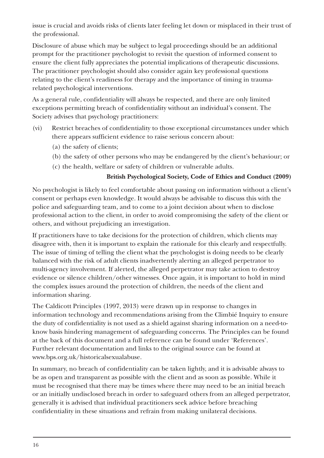issue is crucial and avoids risks of clients later feeling let down or misplaced in their trust of the professional.

Disclosure of abuse which may be subject to legal proceedings should be an additional prompt for the practitioner psychologist to revisit the question of informed consent to ensure the client fully appreciates the potential implications of therapeutic discussions. The practitioner psychologist should also consider again key professional questions relating to the client's readiness for therapy and the importance of timing in traumarelated psychological interventions.

As a general rule, confidentiality will always be respected, and there are only limited exceptions permitting breach of confidentiality without an individual's consent. The Society advises that psychology practitioners:

- (vi) Restrict breaches of confidentiality to those exceptional circumstances under which there appears sufficient evidence to raise serious concern about:
	- (a) the safety of clients;
	- (b) the safety of other persons who may be endangered by the client's behaviour; or
	- (c) the health, welfare or safety of children or vulnerable adults.

#### **British Psychological Society, Code of Ethics and Conduct (2009)**

No psychologist is likely to feel comfortable about passing on information without a client's consent or perhaps even knowledge. It would always be advisable to discuss this with the police and safeguarding team, and to come to a joint decision about when to disclose professional action to the client, in order to avoid compromising the safety of the client or others, and without prejudicing an investigation.

If practitioners have to take decisions for the protection of children, which clients may disagree with, then it is important to explain the rationale for this clearly and respectfully. The issue of timing of telling the client what the psychologist is doing needs to be clearly balanced with the risk of adult clients inadvertently alerting an alleged perpetrator to multi-agency involvement. If alerted, the alleged perpetrator may take action to destroy evidence or silence children/other witnesses. Once again, it is important to hold in mind the complex issues around the protection of children, the needs of the client and information sharing.

The Caldicott Principles (1997, 2013) were drawn up in response to changes in information technology and recommendations arising from the Climbié Inquiry to ensure the duty of confidentiality is not used as a shield against sharing information on a need-toknow basis hindering management of safeguarding concerns. The Principles can be found at the back of this document and a full reference can be found under 'References'. Further relevant documentation and links to the original source can be found at www.bps.org.uk/historicalsexualabuse.

In summary, no breach of confidentiality can be taken lightly, and it is advisable always to be as open and transparent as possible with the client and as soon as possible. While it must be recognised that there may be times where there may need to be an initial breach or an initially undisclosed breach in order to safeguard others from an alleged perpetrator, generally it is advised that individual practitioners seek advice before breaching confidentiality in these situations and refrain from making unilateral decisions.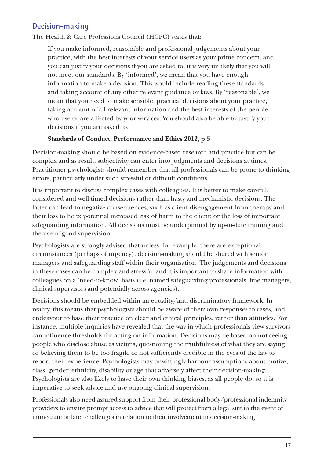### **Decision-making**

The Health & Care Professions Council (HCPC) states that:

If you make informed, reasonable and professional judgements about your practice, with the best interests of your service users as your prime concern, and you can justify your decisions if you are asked to, it is very unlikely that you will not meet our standards. By 'informed', we mean that you have enough information to make a decision. This would include reading these standards and taking account of any other relevant guidance or laws. By 'reasonable', we mean that you need to make sensible, practical decisions about your practice, taking account of all relevant information and the best interests of the people who use or are affected by your services. You should also be able to justify your decisions if you are asked to.

#### **Standards of Conduct, Performance and Ethics 2012, p.5**

Decision-making should be based on evidence-based research and practice but can be complex and as result, subjectivity can enter into judgments and decisions at times. Practitioner psychologists should remember that all professionals can be prone to thinking errors, particularly under such stressful or difficult conditions.

It is important to discuss complex cases with colleagues. It is better to make careful, considered and well-timed decisions rather than hasty and mechanistic decisions. The latter can lead to negative consequences, such as client disengagement from therapy and their loss to help; potential increased risk of harm to the client; or the loss of important safeguarding information. All decisions must be underpinned by up-to-date training and the use of good supervision.

Psychologists are strongly advised that unless, for example, there are exceptional circumstances (perhaps of urgency), decision-making should be shared with senior managers and safeguarding staff within their organisation. The judgements and decisions in these cases can be complex and stressful and it is important to share information with colleagues on a 'need-to-know' basis (i.e. named safeguarding professionals, line managers, clinical supervisors and potentially across agencies).

Decisions should be embedded within an equality/anti-discriminatory framework. In reality, this means that psychologists should be aware of their own responses to cases, and endeavour to base their practice on clear and ethical principles, rather than attitudes. For instance, multiple inquiries have revealed that the way in which professionals view survivors can influence thresholds for acting on information. Decisions may be based on not seeing people who disclose abuse as victims, questioning the truthfulness of what they are saying or believing them to be too fragile or not sufficiently credible in the eyes of the law to report their experience. Psychologists may unwittingly harbour assumptions about motive, class, gender, ethnicity, disability or age that adversely affect their decision-making. Psychologists are also likely to have their own thinking biases, as all people do, so it is imperative to seek advice and use ongoing clinical supervision.

Professionals also need assured support from their professional body/professional indemnity providers to ensure prompt access to advice that will protect from a legal suit in the event of immediate or later challenges in relation to their involvement in decision-making.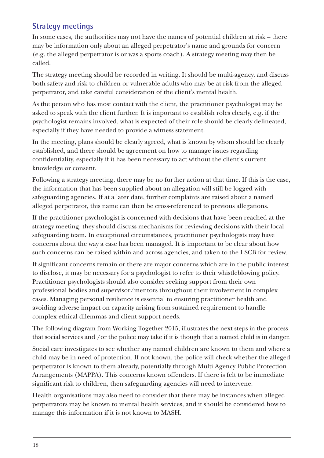## **Strategy meetings**

In some cases, the authorities may not have the names of potential children at risk – there may be information only about an alleged perpetrator's name and grounds for concern (e.g. the alleged perpetrator is or was a sports coach). A strategy meeting may then be called.

The strategy meeting should be recorded in writing. It should be multi-agency, and discuss both safety and risk to children or vulnerable adults who may be at risk from the alleged perpetrator, and take careful consideration of the client's mental health.

As the person who has most contact with the client, the practitioner psychologist may be asked to speak with the client further. It is important to establish roles clearly, e.g. if the psychologist remains involved, what is expected of their role should be clearly delineated, especially if they have needed to provide a witness statement.

In the meeting, plans should be clearly agreed, what is known by whom should be clearly established, and there should be agreement on how to manage issues regarding confidentiality, especially if it has been necessary to act without the client's current knowledge or consent.

Following a strategy meeting, there may be no further action at that time. If this is the case, the information that has been supplied about an allegation will still be logged with safeguarding agencies. If at a later date, further complaints are raised about a named alleged perpetrator, this name can then be cross-referenced to previous allegations.

If the practitioner psychologist is concerned with decisions that have been reached at the strategy meeting, they should discuss mechanisms for reviewing decisions with their local safeguarding team. In exceptional circumstances, practitioner psychologists may have concerns about the way a case has been managed. It is important to be clear about how such concerns can be raised within and across agencies, and taken to the LSCB for review.

If significant concerns remain or there are major concerns which are in the public interest to disclose, it may be necessary for a psychologist to refer to their whistleblowing policy. Practitioner psychologists should also consider seeking support from their own professional bodies and supervisor/mentors throughout their involvement in complex cases. Managing personal resilience is essential to ensuring practitioner health and avoiding adverse impact on capacity arising from sustained requirement to handle complex ethical dilemmas and client support needs.

The following diagram from Working Together 2015, illustrates the next steps in the process that social services and /or the police may take if it is though that a named child is in danger.

Social care investigates to see whether any named children are known to them and where a child may be in need of protection. If not known, the police will check whether the alleged perpetrator is known to them already, potentially through Multi Agency Public Protection Arrangements (MAPPA). This concerns known offenders. If there is felt to be immediate significant risk to children, then safeguarding agencies will need to intervene.

Health organisations may also need to consider that there may be instances when alleged perpetrators may be known to mental health services, and it should be considered how to manage this information if it is not known to MASH.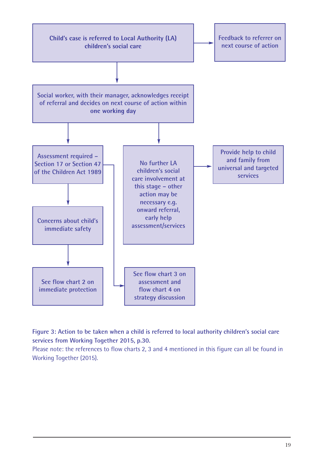

**Figure 3: Action to be taken when a child is referred to local authority children's social care services from Working Together 2015, p.30.**

Please note: the references to flow charts 2, 3 and 4 mentioned in this figure can all be found in Working Together (2015).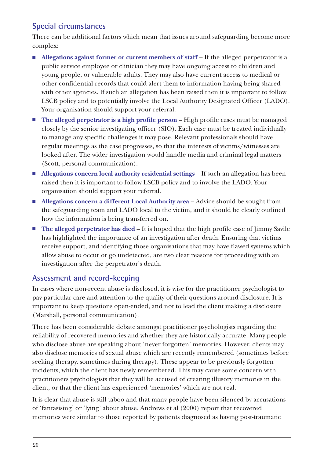## **Special circumstances**

There can be additional factors which mean that issues around safeguarding become more complex:

- **Allegations against former or current members of staff** If the alleged perpetrator is a public service employee or clinician they may have ongoing access to children and young people, or vulnerable adults. They may also have current access to medical or other confidential records that could alert them to information having being shared with other agencies. If such an allegation has been raised then it is important to follow LSCB policy and to potentially involve the Local Authority Designated Officer (LADO). Your organisation should support your referral.
- **The alleged perpetrator is a high profile person** High profile cases must be managed closely by the senior investigating officer (SIO). Each case must be treated individually to manage any specific challenges it may pose. Relevant professionals should have regular meetings as the case progresses, so that the interests of victims/witnesses are looked after. The wider investigation would handle media and criminal legal matters (Scott, personal communication).
- **Allegations concern local authority residential settings** If such an allegation has been raised then it is important to follow LSCB policy and to involve the LADO. Your organisation should support your referral.
- **Allegations concern a different Local Authority area** Advice should be sought from the safeguarding team and LADO local to the victim, and it should be clearly outlined how the information is being transferred on.
- **The alleged perpetrator has died** It is hoped that the high profile case of Jimmy Savile has highlighted the importance of an investigation after death. Ensuring that victims receive support, and identifying those organisations that may have flawed systems which allow abuse to occur or go undetected, are two clear reasons for proceeding with an investigation after the perpetrator's death.

### **Assessment and record-keeping**

In cases where non-recent abuse is disclosed, it is wise for the practitioner psychologist to pay particular care and attention to the quality of their questions around disclosure. It is important to keep questions open-ended, and not to lead the client making a disclosure (Marshall, personal communication).

There has been considerable debate amongst practitioner psychologists regarding the reliability of recovered memories and whether they are historically accurate. Many people who disclose abuse are speaking about 'never forgotten' memories. However, clients may also disclose memories of sexual abuse which are recently remembered (sometimes before seeking therapy, sometimes during therapy). These appear to be previously forgotten incidents, which the client has newly remembered. This may cause some concern with practitioners psychologists that they will be accused of creating illusory memories in the client, or that the client has experienced 'memories' which are not real.

It is clear that abuse is still taboo and that many people have been silenced by accusations of 'fantasising' or 'lying' about abuse. Andrews et al (2000) report that recovered memories were similar to those reported by patients diagnosed as having post-traumatic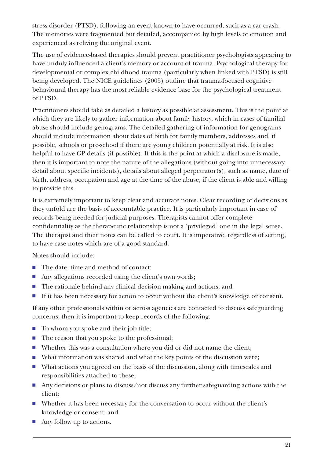stress disorder (PTSD), following an event known to have occurred, such as a car crash. The memories were fragmented but detailed, accompanied by high levels of emotion and experienced as reliving the original event.

The use of evidence-based therapies should prevent practitioner psychologists appearing to have unduly influenced a client's memory or account of trauma. Psychological therapy for developmental or complex childhood trauma (particularly when linked with PTSD) is still being developed. The NICE guidelines (2005) outline that trauma-focused cognitive behavioural therapy has the most reliable evidence base for the psychological treatment of PTSD.

Practitioners should take as detailed a history as possible at assessment. This is the point at which they are likely to gather information about family history, which in cases of familial abuse should include genograms. The detailed gathering of information for genograms should include information about dates of birth for family members, addresses and, if possible, schools or pre-school if there are young children potentially at risk. It is also helpful to have GP details (if possible). If this is the point at which a disclosure is made, then it is important to note the nature of the allegations (without going into unnecessary detail about specific incidents), details about alleged perpetrator(s), such as name, date of birth, address, occupation and age at the time of the abuse, if the client is able and willing to provide this.

It is extremely important to keep clear and accurate notes. Clear recording of decisions as they unfold are the basis of accountable practice. It is particularly important in case of records being needed for judicial purposes. Therapists cannot offer complete confidentiality as the therapeutic relationship is not a 'privileged' one in the legal sense. The therapist and their notes can be called to court. It is imperative, regardless of setting, to have case notes which are of a good standard.

Notes should include:

- The date, time and method of contact:
- Any allegations recorded using the client's own words;
- The rationale behind any clinical decision-making and actions; and
- If it has been necessary for action to occur without the client's knowledge or consent.

If any other professionals within or across agencies are contacted to discuss safeguarding concerns, then it is important to keep records of the following:

- To whom you spoke and their job title;
- The reason that you spoke to the professional;
- Whether this was a consultation where you did or did not name the client;
- What information was shared and what the key points of the discussion were;
- What actions you agreed on the basis of the discussion, along with timescales and responsibilities attached to these;
- Any decisions or plans to discuss/not discuss any further safeguarding actions with the client;
- Whether it has been necessary for the conversation to occur without the client's knowledge or consent; and
- Any follow up to actions.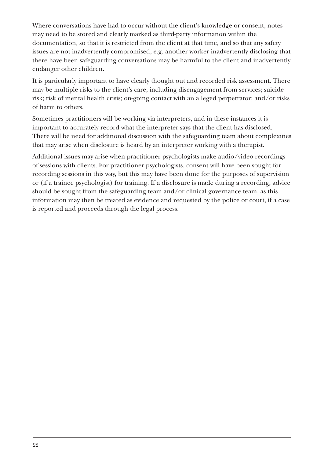Where conversations have had to occur without the client's knowledge or consent, notes may need to be stored and clearly marked as third-party information within the documentation, so that it is restricted from the client at that time, and so that any safety issues are not inadvertently compromised, e.g. another worker inadvertently disclosing that there have been safeguarding conversations may be harmful to the client and inadvertently endanger other children.

It is particularly important to have clearly thought out and recorded risk assessment. There may be multiple risks to the client's care, including disengagement from services; suicide risk; risk of mental health crisis; on-going contact with an alleged perpetrator; and/or risks of harm to others.

Sometimes practitioners will be working via interpreters, and in these instances it is important to accurately record what the interpreter says that the client has disclosed. There will be need for additional discussion with the safeguarding team about complexities that may arise when disclosure is heard by an interpreter working with a therapist.

Additional issues may arise when practitioner psychologists make audio/video recordings of sessions with clients. For practitioner psychologists, consent will have been sought for recording sessions in this way, but this may have been done for the purposes of supervision or (if a trainee psychologist) for training. If a disclosure is made during a recording, advice should be sought from the safeguarding team and/or clinical governance team, as this information may then be treated as evidence and requested by the police or court, if a case is reported and proceeds through the legal process.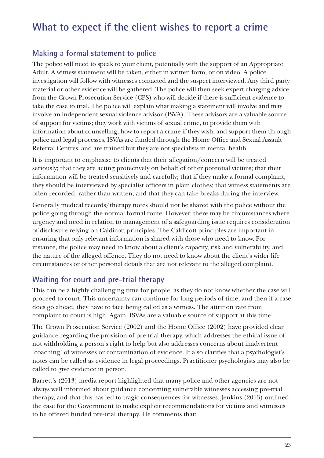## **Making a formal statement to police**

The police will need to speak to your client, potentially with the support of an Appropriate Adult. A witness statement will be taken, either in written form, or on video. A police investigation will follow with witnesses contacted and the suspect interviewed. Any third party material or other evidence will be gathered. The police will then seek expert charging advice from the Crown Prosecution Service (CPS) who will decide if there is sufficient evidence to take the case to trial. The police will explain what making a statement will involve and may involve an independent sexual violence advisor (ISVA). These advisors are a valuable source of support for victims; they work with victims of sexual crime, to provide them with information about counselling, how to report a crime if they wish, and support them through police and legal processes. ISVAs are funded through the Home Office and Sexual Assault Referral Centres, and are trained but they are not specialists in mental health.

It is important to emphasise to clients that their allegation/concern will be treated seriously; that they are acting protectively on behalf of other potential victims; that their information will be treated sensitively and carefully; that if they make a formal complaint, they should be interviewed by specialist officers in plain clothes; that witness statements are often recorded, rather than written; and that they can take breaks during the interview.

Generally medical records/therapy notes should not be shared with the police without the police going through the normal formal route. However, there may be circumstances where urgency and need in relation to management of a safeguarding issue requires consideration of disclosure relying on Caldicott principles. The Caldicott principles are important in ensuring that only relevant information is shared with those who need to know. For instance, the police may need to know about a client's capacity, risk and vulnerability, and the nature of the alleged offence. They do not need to know about the client's wider life circumstances or other personal details that are not relevant to the alleged complaint.

### **Waiting for court and pre-trial therapy**

This can be a highly challenging time for people, as they do not know whether the case will proceed to court. This uncertainty can continue for long periods of time, and then if a case does go ahead, they have to face being called as a witness. The attrition rate from complaint to court is high. Again, ISVAs are a valuable source of support at this time.

The Crown Prosecution Service (2002) and the Home Office (2002) have provided clear guidance regarding the provision of pre-trial therapy, which addresses the ethical issue of not withholding a person's right to help but also addresses concerns about inadvertent 'coaching' of witnesses or contamination of evidence. It also clarifies that a psychologist's notes can be called as evidence in legal proceedings. Practitioner psychologists may also be called to give evidence in person.

Barrett's (2013) media report highlighted that many police and other agencies are not always well informed about guidance concerning vulnerable witnesses accessing pre-trial therapy, and that this has led to tragic consequences for witnesses. Jenkins (2013) outlined the case for the Government to make explicit recommendations for victims and witnesses to be offered funded pre-trial therapy. He comments that: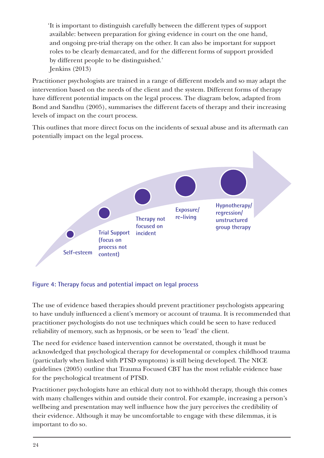'It is important to distinguish carefully between the different types of support available: between preparation for giving evidence in court on the one hand, and ongoing pre-trial therapy on the other. It can also be important for support roles to be clearly demarcated, and for the different forms of support provided by different people to be distinguished.' Jenkins (2013)

Practitioner psychologists are trained in a range of different models and so may adapt the intervention based on the needs of the client and the system. Different forms of therapy have different potential impacts on the legal process. The diagram below, adapted from Bond and Sandhu (2005), summarises the different facets of therapy and their increasing levels of impact on the court process.

This outlines that more direct focus on the incidents of sexual abuse and its aftermath can potentially impact on the legal process.



#### **Figure 4: Therapy focus and potential impact on legal process**

The use of evidence based therapies should prevent practitioner psychologists appearing to have unduly influenced a client's memory or account of trauma. It is recommended that practitioner psychologists do not use techniques which could be seen to have reduced reliability of memory, such as hypnosis, or be seen to 'lead' the client.

The need for evidence based intervention cannot be overstated, though it must be acknowledged that psychological therapy for developmental or complex childhood trauma (particularly when linked with PTSD symptoms) is still being developed. The NICE guidelines (2005) outline that Trauma Focused CBT has the most reliable evidence base for the psychological treatment of PTSD.

Practitioner psychologists have an ethical duty not to withhold therapy, though this comes with many challenges within and outside their control. For example, increasing a person's wellbeing and presentation may well influence how the jury perceives the credibility of their evidence. Although it may be uncomfortable to engage with these dilemmas, it is important to do so.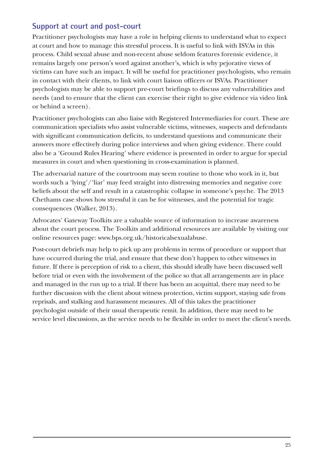### **Support at court and post-court**

Practitioner psychologists may have a role in helping clients to understand what to expect at court and how to manage this stressful process. It is useful to link with ISVAs in this process. Child sexual abuse and non-recent abuse seldom features forensic evidence, it remains largely one person's word against another's, which is why pejorative views of victims can have such an impact. It will be useful for practitioner psychologists, who remain in contact with their clients, to link with court liaison officers or ISVAs. Practitioner psychologists may be able to support pre-court briefings to discuss any vulnerabilities and needs (and to ensure that the client can exercise their right to give evidence via video link or behind a screen).

Practitioner psychologists can also liaise with Registered Intermediaries for court. These are communication specialists who assist vulnerable victims, witnesses, suspects and defendants with significant communication deficits, to understand questions and communicate their answers more effectively during police interviews and when giving evidence. There could also be a 'Ground Rules Hearing' where evidence is presented in order to argue for special measures in court and when questioning in cross-examination is planned.

The adversarial nature of the courtroom may seem routine to those who work in it, but words such a 'lying'/'liar' may feed straight into distressing memories and negative core beliefs about the self and result in a catastrophic collapse in someone's psyche. The 2013 Chethams case shows how stressful it can be for witnesses, and the potential for tragic consequences (Walker, 2013).

Advocates' Gateway Toolkits are a valuable source of information to increase awareness about the court process. The Toolkits and additional resources are available by visiting our online resources page: www.bps.org.uk/historicalsexualabuse.

Post-court debriefs may help to pick up any problems in terms of procedure or support that have occurred during the trial, and ensure that these don't happen to other witnesses in future. If there is perception of risk to a client, this should ideally have been discussed well before trial or even with the involvement of the police so that all arrangements are in place and managed in the run up to a trial. If there has been an acquittal, there may need to be further discussion with the client about witness protection, victim support, staying safe from reprisals, and stalking and harassment measures. All of this takes the practitioner psychologist outside of their usual therapeutic remit. In addition, there may need to be service level discussions, as the service needs to be flexible in order to meet the client's needs.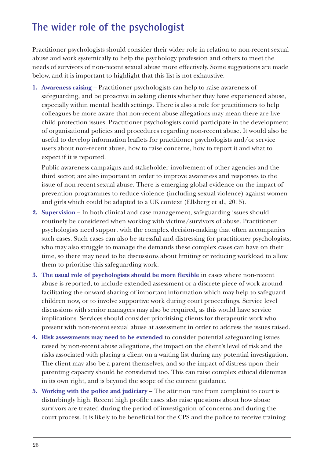Practitioner psychologists should consider their wider role in relation to non-recent sexual abuse and work systemically to help the psychology profession and others to meet the needs of survivors of non-recent sexual abuse more effectively. Some suggestions are made below, and it is important to highlight that this list is not exhaustive.

**1. Awareness raising** – Practitioner psychologists can help to raise awareness of safeguarding, and be proactive in asking clients whether they have experienced abuse, especially within mental health settings. There is also a role for practitioners to help colleagues be more aware that non-recent abuse allegations may mean there are live child protection issues. Practitioner psychologists could participate in the development of organisational policies and procedures regarding non-recent abuse. It would also be useful to develop information leaflets for practitioner psychologists and/or service users about non-recent abuse, how to raise concerns, how to report it and what to expect if it is reported.

Public awareness campaigns and stakeholder involvement of other agencies and the third sector, are also important in order to improve awareness and responses to the issue of non-recent sexual abuse. There is emerging global evidence on the impact of prevention programmes to reduce violence (including sexual violence) against women and girls which could be adapted to a UK context (Ellsberg et al., 2015).

- **2. Supervision** In both clinical and case management, safeguarding issues should routinely be considered when working with victims/survivors of abuse. Practitioner psychologists need support with the complex decision-making that often accompanies such cases. Such cases can also be stressful and distressing for practitioner psychologists, who may also struggle to manage the demands these complex cases can have on their time, so there may need to be discussions about limiting or reducing workload to allow them to prioritise this safeguarding work.
- **3. The usual role of psychologists should be more flexible** in cases where non-recent abuse is reported, to include extended assessment or a discrete piece of work around facilitating the onward sharing of important information which may help to safeguard children now, or to involve supportive work during court proceedings. Service level discussions with senior managers may also be required, as this would have service implications. Services should consider prioritising clients for therapeutic work who present with non-recent sexual abuse at assessment in order to address the issues raised.
- **4. Risk assessments may need to be extended** to consider potential safeguarding issues raised by non-recent abuse allegations, the impact on the client's level of risk and the risks associated with placing a client on a waiting list during any potential investigation. The client may also be a parent themselves, and so the impact of distress upon their parenting capacity should be considered too. This can raise complex ethical dilemmas in its own right, and is beyond the scope of the current guidance.
- **5. Working with the police and judiciary** The attrition rate from complaint to court is disturbingly high. Recent high profile cases also raise questions about how abuse survivors are treated during the period of investigation of concerns and during the court process. It is likely to be beneficial for the CPS and the police to receive training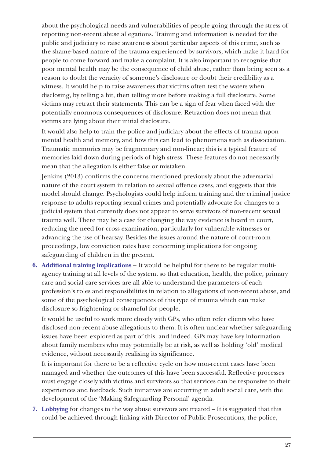about the psychological needs and vulnerabilities of people going through the stress of reporting non-recent abuse allegations. Training and information is needed for the public and judiciary to raise awareness about particular aspects of this crime, such as the shame-based nature of the trauma experienced by survivors, which make it hard for people to come forward and make a complaint. It is also important to recognise that poor mental health may be the consequence of child abuse, rather than being seen as a reason to doubt the veracity of someone's disclosure or doubt their credibility as a witness. It would help to raise awareness that victims often test the waters when disclosing, by telling a bit, then telling more before making a full disclosure. Some victims may retract their statements. This can be a sign of fear when faced with the potentially enormous consequences of disclosure. Retraction does not mean that victims are lying about their initial disclosure.

It would also help to train the police and judiciary about the effects of trauma upon mental health and memory, and how this can lead to phenomena such as dissociation. Traumatic memories may be fragmentary and non-linear; this is a typical feature of memories laid down during periods of high stress. These features do not necessarily mean that the allegation is either false or mistaken.

Jenkins (2013) confirms the concerns mentioned previously about the adversarial nature of the court system in relation to sexual offence cases, and suggests that this model should change. Psychologists could help inform training and the criminal justice response to adults reporting sexual crimes and potentially advocate for changes to a judicial system that currently does not appear to serve survivors of non-recent sexual trauma well. There may be a case for changing the way evidence is heard in court, reducing the need for cross examination, particularly for vulnerable witnesses or advancing the use of hearsay. Besides the issues around the nature of court-room proceedings, low conviction rates have concerning implications for ongoing safeguarding of children in the present.

**6. Additional training implications** – It would be helpful for there to be regular multiagency training at all levels of the system, so that education, health, the police, primary care and social care services are all able to understand the parameters of each profession's roles and responsibilities in relation to allegations of non-recent abuse, and some of the psychological consequences of this type of trauma which can make disclosure so frightening or shameful for people.

It would be useful to work more closely with GPs, who often refer clients who have disclosed non-recent abuse allegations to them. It is often unclear whether safeguarding issues have been explored as part of this, and indeed, GPs may have key information about family members who may potentially be at risk, as well as holding 'old' medical evidence, without necessarily realising its significance.

It is important for there to be a reflective cycle on how non-recent cases have been managed and whether the outcomes of this have been successful. Reflective processes must engage closely with victims and survivors so that services can be responsive to their experiences and feedback. Such initiatives are occurring in adult social care, with the development of the 'Making Safeguarding Personal' agenda.

**7. Lobbying** for changes to the way abuse survivors are treated – It is suggested that this could be achieved through linking with Director of Public Prosecutions, the police,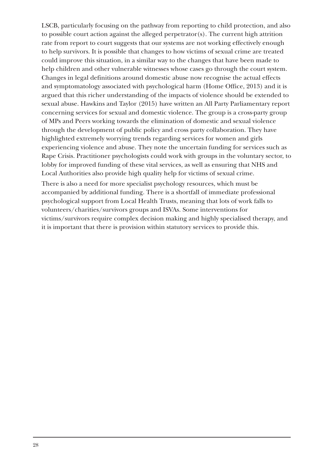LSCB, particularly focusing on the pathway from reporting to child protection, and also to possible court action against the alleged perpetrator(s). The current high attrition rate from report to court suggests that our systems are not working effectively enough to help survivors. It is possible that changes to how victims of sexual crime are treated could improve this situation, in a similar way to the changes that have been made to help children and other vulnerable witnesses whose cases go through the court system. Changes in legal definitions around domestic abuse now recognise the actual effects and symptomatology associated with psychological harm (Home Office, 2013) and it is argued that this richer understanding of the impacts of violence should be extended to sexual abuse. Hawkins and Taylor (2015) have written an All Party Parliamentary report concerning services for sexual and domestic violence. The group is a cross-party group of MPs and Peers working towards the elimination of domestic and sexual violence through the development of public policy and cross party collaboration. They have highlighted extremely worrying trends regarding services for women and girls experiencing violence and abuse. They note the uncertain funding for services such as Rape Crisis. Practitioner psychologists could work with groups in the voluntary sector, to lobby for improved funding of these vital services, as well as ensuring that NHS and Local Authorities also provide high quality help for victims of sexual crime.

There is also a need for more specialist psychology resources, which must be accompanied by additional funding. There is a shortfall of immediate professional psychological support from Local Health Trusts, meaning that lots of work falls to volunteers/charities/survivors groups and ISVAs. Some interventions for victims/survivors require complex decision making and highly specialised therapy, and it is important that there is provision within statutory services to provide this.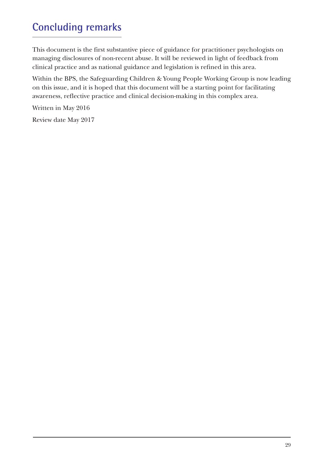## **Concluding remarks**

This document is the first substantive piece of guidance for practitioner psychologists on managing disclosures of non-recent abuse. It will be reviewed in light of feedback from clinical practice and as national guidance and legislation is refined in this area.

Within the BPS, the Safeguarding Children & Young People Working Group is now leading on this issue, and it is hoped that this document will be a starting point for facilitating awareness, reflective practice and clinical decision-making in this complex area.

Written in May 2016

Review date May 2017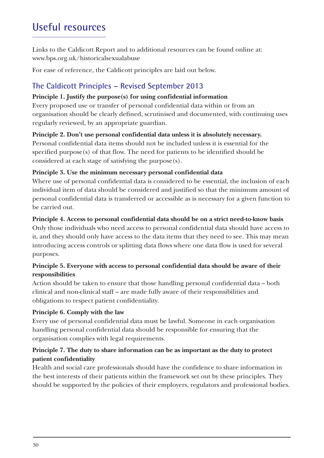## **Useful resources**

Links to the Caldicott Report and to additional resources can be found online at: www.bps.org.uk/historicalsexualabuse

For ease of reference, the Caldicott principles are laid out below.

## **The Caldicott Principles – Revised September 2013**

#### **Principle 1. Justify the purpose(s) for using confidential information**

Every proposed use or transfer of personal confidential data within or from an organisation should be clearly defined, scrutinised and documented, with continuing uses regularly reviewed, by an appropriate guardian.

**Principle 2. Don't use personal confidential data unless it is absolutely necessary.**  Personal confidential data items should not be included unless it is essential for the specified purpose(s) of that flow. The need for patients to be identified should be considered at each stage of satisfying the purpose(s).

#### **Principle 3. Use the minimum necessary personal confidential data**

Where use of personal confidential data is considered to be essential, the inclusion of each individual item of data should be considered and justified so that the minimum amount of personal confidential data is transferred or accessible as is necessary for a given function to be carried out.

#### **Principle 4. Access to personal confidential data should be on a strict need-to-know basis**

Only those individuals who need access to personal confidential data should have access to it, and they should only have access to the data items that they need to see. This may mean introducing access controls or splitting data flows where one data flow is used for several purposes.

#### **Principle 5. Everyone with access to personal confidential data should be aware of their responsibilities**

Action should be taken to ensure that those handling personal confidential data – both clinical and non-clinical staff – are made fully aware of their responsibilities and obligations to respect patient confidentiality.

#### **Principle 6. Comply with the law**

Every use of personal confidential data must be lawful. Someone in each organisation handling personal confidential data should be responsible for ensuring that the organisation complies with legal requirements.

#### **Principle 7. The duty to share information can be as important as the duty to protect patient confidentiality**

Health and social care professionals should have the confidence to share information in the best interests of their patients within the framework set out by these principles. They should be supported by the policies of their employers, regulators and professional bodies.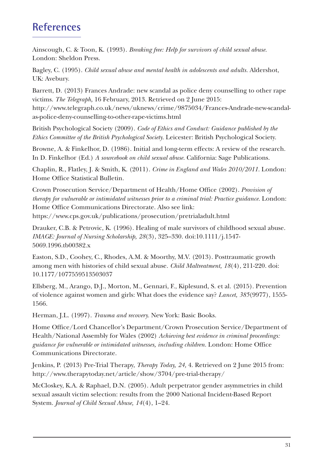## **References**

Ainscough, C. & Toon, K. (1993). *Breaking free: Help for survivors of child sexual abuse.* London: Sheldon Press.

Bagley, C. (1995). *Child sexual abuse and mental health in adolescents and adults.* Aldershot, UK: Avebury.

Barrett, D. (2013) Frances Andrade: new scandal as police deny counselling to other rape victims. *The Telegraph,* 16 February, 2013. Retrieved on 2 June 2015: http://www.telegraph.co.uk/news/uknews/crime/9875034/Frances-Andrade-new-scandalas-police-deny-counselling-to-other-rape-victims.html

British Psychological Society (2009). *Code of Ethics and Conduct: Guidance published by the Ethics Committee of the British Psychological Society.* Leicester: British Psychological Society.

Browne, A. & Finkelhor, D. (1986). Initial and long-term effects: A review of the research. In D. Finkelhor (Ed.) *A sourcebook on child sexual abuse.* California: Sage Publications.

Chaplin, R., Flatley, J. & Smith, K. (2011). *Crime in England and Wales 2010/2011.* London: Home Office Statistical Bulletin.

Crown Prosecution Service/Department of Health/Home Office (2002). *Provision of therapy for vulnerable or intimidated witnesses prior to a criminal trial: Practice guidance.* London: Home Office Communications Directorate. Also see link: https://www.cps.gov.uk/publications/prosecution/pretrialadult.html

Drauker, C.B. & Petrovic, K. (1996). Healing of male survivors of childhood sexual abuse. *IMAGE: Journal of Nursing Scholarship, 28*(3), 325–330. doi:10.1111/j.1547- 5069.1996.tb00382.x

Easton, S.D., Coohey, C., Rhodes, A.M. & Moorthy, M.V. (2013). Posttraumatic growth among men with histories of child sexual abuse. *Child Maltreatment, 18*(4), 211-220. doi: 10.1177/1077559513503037

Ellsberg, M., Arango, D.J., Morton, M., Gennari, F., Kiplesund, S. et al. (2015). Prevention of violence against women and girls: What does the evidence say? *Lancet, 385*(9977), 1555- 1566.

Herman, J.L. (1997). *Trauma and recovery.* New York: Basic Books.

Home Office/Lord Chancellor's Department/Crown Prosecution Service/Department of Health/National Assembly for Wales (2002) *Achieving best evidence in criminal proceedings: guidance for vulnerable or intimidated witnesses, including children.* London: Home Office Communications Directorate.

Jenkins, P. (2013) Pre-Trial Therapy, *Therapy Today, 24,* 4. Retrieved on 2 June 2015 from: http://www.therapytoday.net/article/show/3704/pre-trial-therapy/

McCloskey, K.A. & Raphael, D.N. (2005). Adult perpetrator gender asymmetries in child sexual assault victim selection: results from the 2000 National Incident-Based Report System. *Journal of Child Sexual Abuse, 14*(4), 1–24.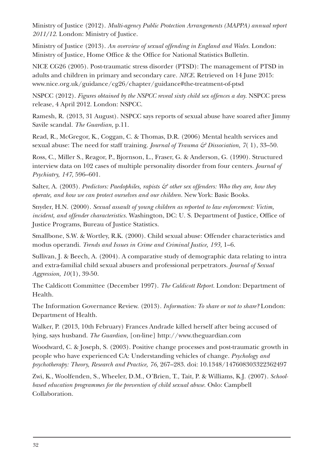Ministry of Justice (2012). *Multi-agency Public Protection Arrangements (MAPPA) annual report 2011/12.* London: Ministry of Justice.

Ministry of Justice (2013). *An overview of sexual offending in England and Wales.* London: Ministry of Justice, Home Office & the Office for National Statistics Bulletin.

NICE CG26 (2005). Post-traumatic stress disorder (PTSD): The management of PTSD in adults and children in primary and secondary care. *NICE*. Retrieved on 14 June 2015: www.nice.org.uk/guidance/cg26/chapter/guidance#the-treatment-of-ptsd

NSPCC (2012). *Figures obtained by the NSPCC reveal sixty child sex offences a day.* NSPCC press release, 4 April 2012. London: NSPCC.

Ramesh, R. (2013, 31 August). NSPCC says reports of sexual abuse have soared after Jimmy Savile scandal. *The Guardian,* p.11.

Read, R., McGregor, K., Coggan, C. & Thomas, D.R. (2006) Mental health services and sexual abuse: The need for staff training. *Journal of Trauma & Dissociation, 7*( 1), 33–50.

Ross, C., Miller S., Reagor, P., Bjornson, L., Fraser, G. & Anderson, G. (1990). Structured interview data on 102 cases of multiple personality disorder from four centers. *Journal of Psychiatry, 147,* 596–601.

Salter, A. (2003). *Predictors: Paedophiles, rapists & other sex offenders: Who they are, how they operate, and how we can protect ourselves and our children.* New York: Basic Books.

Snyder, H.N. (2000). *Sexual assault of young children as reported to law enforcement: Victim, incident, and offender characteristics.* Washington, DC: U. S. Department of Justice, Office of Justice Programs, Bureau of Justice Statistics.

Smallbone, S.W. & Wortley, R.K. (2000). Child sexual abuse: Offender characteristics and modus operandi. *Trends and Issues in Crime and Criminal Justice, 193,* 1–6.

Sullivan, J. & Beech, A. (2004). A comparative study of demographic data relating to intra and extra-familial child sexual abusers and professional perpetrators. *Journal of Sexual Aggression, 10*(1), 39-50.

The Caldicott Committee (December 1997). *The Caldicott Report.* London: Department of Health.

The Information Governance Review. (2013). *Information: To share or not to share?* London: Department of Health.

Walker, P. (2013, 10th February) Frances Andrade killed herself after being accused of lying, says husband. *The Guardian,* [on-line] http://www.theguardian.com

Woodward, C. & Joseph, S. (2003). Positive change processes and post-traumatic growth in people who have experienced CA: Understanding vehicles of change. *Psychology and psychotherapy: Theory, Research and Practice, 76,* 267–283. doi: 10.1348/147608303322362497

Zwi, K., Woolfenden, S., Wheeler, D.M., O'Brien, T., Tait, P. & Williams, K.J. (2007). *Schoolbased education programmes for the prevention of child sexual abuse.* Oslo: Campbell Collaboration.